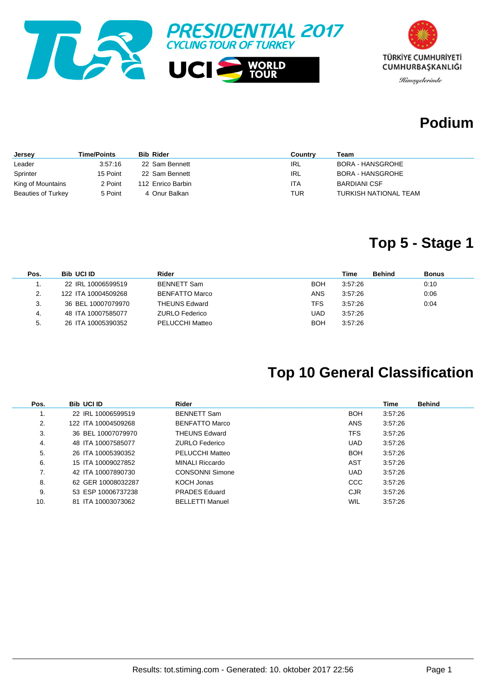



#### **Podium**

| <b>Jersey</b>      | Time/Points | <b>Bib Rider</b>  | Country | Team                    |
|--------------------|-------------|-------------------|---------|-------------------------|
| Leader             | 3:57:16     | 22 Sam Bennett    | IRL     | BORA - HANSGROHE        |
| Sprinter           | 15 Point    | 22 Sam Bennett    | IRL     | <b>BORA - HANSGROHE</b> |
| King of Mountains  | 2 Point     | 112 Enrico Barbin | ITA     | <b>BARDIANI CSF</b>     |
| Beauties of Turkey | 5 Point     | 4 Onur Balkan     | TUR     | TURKISH NATIONAL TEAM   |

### **Top 5 - Stage 1**

| Pos. | <b>Bib UCI ID</b>   | Rider                 |     | Time    | <b>Behind</b> | <b>Bonus</b> |
|------|---------------------|-----------------------|-----|---------|---------------|--------------|
|      | 22 IRL 10006599519  | <b>BENNETT Sam</b>    | BOH | 3:57:26 |               | 0:10         |
| 2.   | 122 ITA 10004509268 | <b>BENFATTO Marco</b> | ANS | 3.57:26 |               | 0:06         |
| 3.   | 36 BEL 10007079970  | <b>THEUNS Edward</b>  | TFS | 3:57:26 |               | 0:04         |
| -4.  | 48 ITA 10007585077  | <b>ZURLO Federico</b> | UAD | 3:57:26 |               |              |
| 5.   | 26 ITA 10005390352  | PELUCCHI Matteo       | BOH | 3:57:26 |               |              |

### **Top 10 General Classification**

| Pos. | <b>Bib UCI ID</b>   | Rider                  |            | <b>Time</b> | <b>Behind</b> |
|------|---------------------|------------------------|------------|-------------|---------------|
| ι.   | 22 IRL 10006599519  | <b>BENNETT Sam</b>     | <b>BOH</b> | 3:57:26     |               |
| 2.   | 122 ITA 10004509268 | <b>BENFATTO Marco</b>  | <b>ANS</b> | 3:57:26     |               |
| 3.   | 36 BEL 10007079970  | THEUNS Edward          | TFS        | 3:57:26     |               |
| 4.   | 48 ITA 10007585077  | <b>ZURLO Federico</b>  | <b>UAD</b> | 3:57:26     |               |
| 5.   | 26 ITA 10005390352  | PELUCCHI Matteo        | <b>BOH</b> | 3:57:26     |               |
| 6.   | 15 ITA 10009027852  | MINALI Riccardo        | AST        | 3:57:26     |               |
| 7.   | 42 ITA 10007890730  | <b>CONSONNI Simone</b> | <b>UAD</b> | 3:57:26     |               |
| 8.   | 62 GER 10008032287  | KOCH Jonas             | <b>CCC</b> | 3:57:26     |               |
| 9.   | 53 ESP 10006737238  | <b>PRADES Eduard</b>   | <b>CJR</b> | 3:57:26     |               |
| 10.  | 81 ITA 10003073062  | <b>BELLETTI Manuel</b> | WIL        | 3:57:26     |               |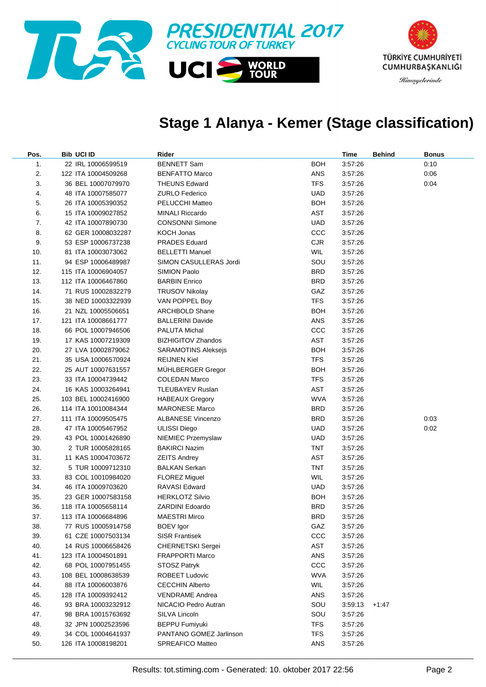

### **Stage 1 Alanya - Kemer (Stage classification)**

| Pos. | <b>Bib UCI ID</b>   | Rider                      |            | Time    | <b>Behind</b> | <b>Bonus</b> |
|------|---------------------|----------------------------|------------|---------|---------------|--------------|
| 1.   | 22 IRL 10006599519  | <b>BENNETT Sam</b>         | <b>BOH</b> | 3.57.26 |               | 0:10         |
| 2.   | 122 ITA 10004509268 | <b>BENFATTO Marco</b>      | ANS        | 3.57.26 |               | 0:06         |
| 3.   | 36 BEL 10007079970  | <b>THEUNS Edward</b>       | <b>TFS</b> | 3.57.26 |               | 0:04         |
| 4.   | 48 ITA 10007585077  | <b>ZURLO Federico</b>      | <b>UAD</b> | 3.57.26 |               |              |
| 5.   | 26 ITA 10005390352  | PELUCCHI Matteo            | <b>BOH</b> | 3.57.26 |               |              |
| 6.   | 15 ITA 10009027852  | <b>MINALI Riccardo</b>     | AST        | 3.57.26 |               |              |
| 7.   | 42 ITA 10007890730  | <b>CONSONNI Simone</b>     | <b>UAD</b> | 3.57.26 |               |              |
| 8.   | 62 GER 10008032287  | KOCH Jonas                 | CCC        | 3.57.26 |               |              |
| 9.   | 53 ESP 10006737238  | <b>PRADES Eduard</b>       | CJR        | 3:57:26 |               |              |
| 10.  | 81 ITA 10003073062  | <b>BELLETTI Manuel</b>     | WIL        | 3:57:26 |               |              |
| 11.  | 94 ESP 10006489987  | SIMON CASULLERAS Jordi     | SOU        | 3.57.26 |               |              |
| 12.  | 115 ITA 10006904057 | SIMION Paolo               | <b>BRD</b> | 3.57.26 |               |              |
| 13.  | 112 ITA 10006467860 | <b>BARBIN Enrico</b>       | <b>BRD</b> | 3.57.26 |               |              |
| 14.  | 71 RUS 10002832279  | <b>TRUSOV Nikolay</b>      | GAZ        | 3.57.26 |               |              |
| 15.  | 38 NED 10003322939  | VAN POPPEL Boy             | <b>TFS</b> | 3.57.26 |               |              |
| 16.  | 21 NZL 10005506651  | <b>ARCHBOLD Shane</b>      | <b>BOH</b> | 3.57.26 |               |              |
| 17.  | 121 ITA 10008661777 | <b>BALLERINI Davide</b>    | ANS        | 3.57.26 |               |              |
| 18.  | 66 POL 10007946506  | PALUTA Michal              | CCC        | 3.57.26 |               |              |
| 19.  | 17 KAS 10007219309  | <b>BIZHIGITOV Zhandos</b>  | AST        | 3.57.26 |               |              |
| 20.  | 27 LVA 10002879062  | <b>SARAMOTINS Aleksejs</b> | <b>BOH</b> | 3.57.26 |               |              |
| 21.  | 35 USA 10006570924  | REIJNEN Kiel               | <b>TFS</b> | 3.57.26 |               |              |
| 22.  | 25 AUT 10007631557  | MÜHLBERGER Gregor          | <b>BOH</b> | 3.57.26 |               |              |
| 23.  | 33 ITA 10004739442  | <b>COLEDAN Marco</b>       | <b>TFS</b> | 3:57:26 |               |              |
| 24.  | 16 KAS 10003264941  | TLEUBAYEV Ruslan           | AST        | 3.57.26 |               |              |
| 25.  | 103 BEL 10002416900 | <b>HABEAUX Gregory</b>     | <b>WVA</b> | 3.57.26 |               |              |
| 26.  | 114 ITA 10010084344 | <b>MARONESE Marco</b>      | <b>BRD</b> | 3.57.26 |               |              |
| 27.  | 111 ITA 10009505475 | <b>ALBANESE Vincenzo</b>   | <b>BRD</b> | 3.57.26 |               | 0:03         |
| 28.  | 47 ITA 10005467952  | <b>ULISSI Diego</b>        | <b>UAD</b> | 3.57.26 |               | 0:02         |
| 29.  | 43 POL 10001426890  | NIEMIEC Przemyslaw         | <b>UAD</b> | 3.57.26 |               |              |
| 30.  | 2 TUR 10005828165   | <b>BAKIRCI Nazim</b>       | <b>TNT</b> | 3.57.26 |               |              |
| 31.  | 11 KAS 10004703672  | <b>ZEITS Andrey</b>        | AST        | 3.57.26 |               |              |
| 32.  | 5 TUR 10009712310   | BALKAN Serkan              | <b>TNT</b> | 3.57.26 |               |              |
| 33.  | 83 COL 10010984020  | <b>FLOREZ Miguel</b>       | <b>WIL</b> | 3.57.26 |               |              |
| 34.  | 46 ITA 10009703620  | RAVASI Edward              | <b>UAD</b> | 3.57.26 |               |              |
| 35.  | 23 GER 10007583158  | <b>HERKLOTZ Silvio</b>     | <b>BOH</b> | 3:57:26 |               |              |
| 36.  | 118 ITA 10005658114 | <b>ZARDINI Edoardo</b>     | <b>BRD</b> | 3:57:26 |               |              |
| 37.  | 113 ITA 10006684896 | <b>MAESTRI Mirco</b>       | <b>BRD</b> | 3:57:26 |               |              |
| 38.  | 77 RUS 10005914758  | BOEV Igor                  | GAZ        | 3:57:26 |               |              |
| 39.  | 61 CZE 10007503134  | <b>SISR Frantisek</b>      | CCC        | 3:57:26 |               |              |
| 40.  | 14 RUS 10006658426  | <b>CHERNETSKI Sergei</b>   | AST        | 3:57:26 |               |              |
| 41.  | 123 ITA 10004501891 | <b>FRAPPORTI Marco</b>     | ANS        | 3:57:26 |               |              |
| 42.  | 68 POL 10007951455  | STOSZ Patryk               | CCC        | 3:57:26 |               |              |
| 43.  | 108 BEL 10008638539 | ROBEET Ludovic             | <b>WVA</b> | 3:57:26 |               |              |
| 44.  | 88 ITA 10006003876  | <b>CECCHIN Alberto</b>     | <b>WIL</b> | 3:57:26 |               |              |
| 45.  | 128 ITA 10009392412 | <b>VENDRAME Andrea</b>     | ANS        | 3:57:26 |               |              |
| 46.  | 93 BRA 10003232912  | NICACIO Pedro Autran       | SOU        | 3:59:13 | $+1:47$       |              |
| 47.  | 98 BRA 10015763692  | SILVA Lincoln              | SOU        | 3:57:26 |               |              |
| 48.  | 32 JPN 10002523596  | <b>BEPPU Fumiyuki</b>      | <b>TFS</b> | 3:57:26 |               |              |
| 49.  | 34 COL 10004641937  | PANTANO GOMEZ Jarlinson    | <b>TFS</b> | 3:57:26 |               |              |
| 50.  | 126 ITA 10008198201 | SPREAFICO Matteo           | ANS        | 3:57:26 |               |              |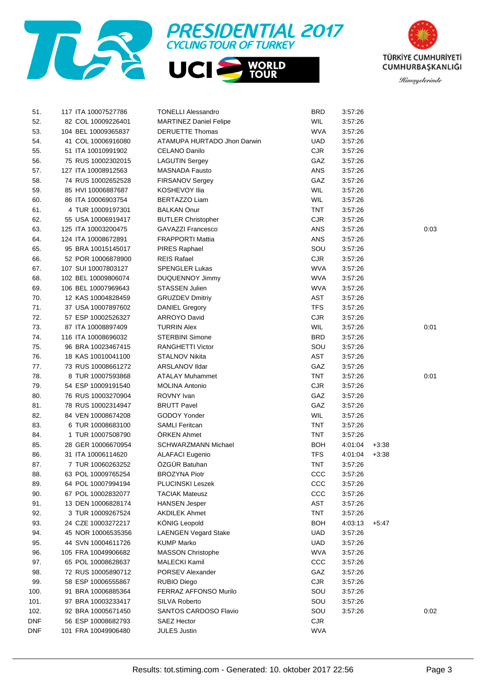





| 51.  | 117 ITA 10007527786 | <b>TONELLI Alessandro</b>     | <b>BRD</b> | 3:57:26 |         |      |
|------|---------------------|-------------------------------|------------|---------|---------|------|
| 52.  | 82 COL 10009226401  | <b>MARTINEZ Daniel Felipe</b> | <b>WIL</b> | 3:57:26 |         |      |
| 53.  | 104 BEL 10009365837 | <b>DERUETTE Thomas</b>        | <b>WVA</b> | 3:57:26 |         |      |
| 54.  | 41 COL 10006916080  | ATAMUPA HURTADO Jhon Darwin   | <b>UAD</b> | 3:57:26 |         |      |
| 55.  | 51 ITA 10010991902  | CELANO Danilo                 | <b>CJR</b> | 3:57:26 |         |      |
| 56.  | 75 RUS 10002302015  | <b>LAGUTIN Sergey</b>         | GAZ        | 3:57:26 |         |      |
| 57.  | 127 ITA 10008912563 | <b>MASNADA Fausto</b>         | ANS        | 3:57:26 |         |      |
| 58.  | 74 RUS 10002652528  | FIRSANOV Sergey               | GAZ        | 3:57:26 |         |      |
| 59.  | 85 HVI 10006887687  | KOSHEVOY Ilia                 | <b>WIL</b> | 3:57:26 |         |      |
| 60.  | 86 ITA 10006903754  | <b>BERTAZZO Liam</b>          | WIL        | 3:57:26 |         |      |
| 61.  | 4 TUR 10009197301   | <b>BALKAN Onur</b>            | <b>TNT</b> | 3:57:26 |         |      |
| 62.  | 55 USA 10006919417  | <b>BUTLER Christopher</b>     | <b>CJR</b> | 3:57:26 |         |      |
| 63.  | 125 ITA 10003200475 | <b>GAVAZZI Francesco</b>      | ANS        | 3:57:26 |         | 0:03 |
| 64.  | 124 ITA 10008672891 | <b>FRAPPORTI Mattia</b>       | ANS        | 3:57:26 |         |      |
| 65.  | 95 BRA 10015145017  | <b>PIRES Raphael</b>          | SOU        | 3:57:26 |         |      |
| 66.  | 52 POR 10006878900  | <b>REIS Rafael</b>            | <b>CJR</b> | 3:57:26 |         |      |
| 67.  | 107 SUI 10007803127 | <b>SPENGLER Lukas</b>         | <b>WVA</b> | 3:57:26 |         |      |
| 68.  | 102 BEL 10009806074 | <b>DUQUENNOY Jimmy</b>        | <b>WVA</b> | 3:57:26 |         |      |
| 69.  | 106 BEL 10007969643 | STASSEN Julien                | <b>WVA</b> | 3:57:26 |         |      |
| 70.  | 12 KAS 10004828459  | <b>GRUZDEV Dmitriy</b>        | AST        | 3:57:26 |         |      |
| 71.  | 37 USA 10007897602  | <b>DANIEL Gregory</b>         | <b>TFS</b> | 3:57:26 |         |      |
| 72.  | 57 ESP 10002526327  | <b>ARROYO David</b>           | CJR        | 3:57:26 |         |      |
| 73.  | 87 ITA 10008897409  | <b>TURRIN Alex</b>            | WIL        | 3:57:26 |         | 0:01 |
| 74.  | 116 ITA 10008696032 | <b>STERBINI Simone</b>        | <b>BRD</b> | 3:57:26 |         |      |
| 75.  | 96 BRA 10023467415  | <b>RANGHETTI Victor</b>       | SOU        | 3:57:26 |         |      |
|      |                     |                               |            |         |         |      |
| 76.  | 18 KAS 10010041100  | <b>STALNOV Nikita</b>         | AST        | 3:57:26 |         |      |
| 77.  | 73 RUS 10008661272  | ARSLANOV IIdar                | GAZ        | 3:57:26 |         |      |
| 78.  | 8 TUR 10007593868   | <b>ATALAY Muhammet</b>        | <b>TNT</b> | 3:57:26 |         | 0:01 |
| 79.  | 54 ESP 10009191540  | <b>MOLINA Antonio</b>         | <b>CJR</b> | 3:57:26 |         |      |
| 80.  | 76 RUS 10003270904  | ROVNY Ivan                    | GAZ        | 3:57:26 |         |      |
| 81.  | 78 RUS 10002314947  | <b>BRUTT Pavel</b>            | GAZ        | 3:57:26 |         |      |
| 82.  | 84 VEN 10008674208  | GODOY Yonder                  | <b>WIL</b> | 3:57:26 |         |      |
| 83.  | 6 TUR 10008683100   | <b>SAMLI Feritcan</b>         | <b>TNT</b> | 3:57:26 |         |      |
| 84.  | 1 TUR 10007508790   | ÖRKEN Ahmet                   | <b>TNT</b> | 3:57:26 |         |      |
| 85.  | 28 GER 10006670954  | <b>SCHWARZMANN Michael</b>    | <b>BOH</b> | 4:01:04 | $+3:38$ |      |
| 86.  | 31 ITA 10006114620  | <b>ALAFACI Eugenio</b>        | <b>TFS</b> | 4:01:04 | $+3:38$ |      |
| 87.  | 7 TUR 10060263252   | ÖZGÜR Batuhan                 | <b>TNT</b> | 3.57.26 |         |      |
| 88.  | 63 POL 10009765254  | <b>BROZYNA Piotr</b>          | CCC        | 3:57:26 |         |      |
| 89.  | 64 POL 10007994194  | <b>PLUCINSKI Leszek</b>       | CCC        | 3.57.26 |         |      |
| 90.  | 67 POL 10002832077  | <b>TACIAK Mateusz</b>         | ccc        | 3:57:26 |         |      |
| 91.  | 13 DEN 10006828174  | <b>HANSEN Jesper</b>          | AST        | 3:57:26 |         |      |
| 92.  | 3 TUR 10009267524   | <b>AKDILEK Ahmet</b>          | <b>TNT</b> | 3:57:26 |         |      |
| 93.  | 24 CZE 10003272217  | <b>KÖNIG Leopold</b>          | <b>BOH</b> | 4:03:13 | $+5:47$ |      |
| 94.  | 45 NOR 10006535356  | <b>LAENGEN Vegard Stake</b>   | <b>UAD</b> | 3:57:26 |         |      |
| 95.  | 44 SVN 10004611726  | <b>KUMP Marko</b>             | <b>UAD</b> | 3:57:26 |         |      |
| 96.  | 105 FRA 10049906682 | <b>MASSON Christophe</b>      | <b>WVA</b> | 3:57:26 |         |      |
| 97.  | 65 POL 10008628637  | <b>MALECKI Kamil</b>          | ccc        | 3:57:26 |         |      |
| 98.  | 72 RUS 10005890712  | <b>PORSEV Alexander</b>       | GAZ        | 3:57:26 |         |      |
| 99.  | 58 ESP 10006555867  | <b>RUBIO Diego</b>            | <b>CJR</b> | 3:57:26 |         |      |
| 100. | 91 BRA 10006885364  | <b>FERRAZ AFFONSO Murilo</b>  | SOU        | 3:57:26 |         |      |
| 101. | 97 BRA 10003233417  | <b>SILVA Roberto</b>          | SOU        | 3:57:26 |         |      |
| 102. | 92 BRA 10005671450  | <b>SANTOS CARDOSO Flavio</b>  | SOU        | 3:57:26 |         | 0:02 |
| DNF  | 56 ESP 10008682793  | <b>SAEZ Hector</b>            | <b>CJR</b> |         |         |      |
| DNF  | 101 FRA 10049906480 | <b>JULES Justin</b>           | <b>WVA</b> |         |         |      |
|      |                     |                               |            |         |         |      |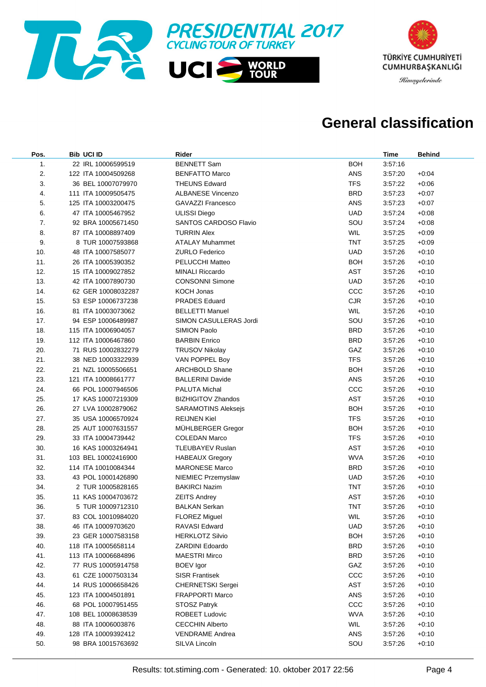



### **General classification**

| Pos. | <b>Bib UCI ID</b>   | Rider                     |            | Time    | <b>Behind</b> |
|------|---------------------|---------------------------|------------|---------|---------------|
| 1.   | 22 IRL 10006599519  | <b>BENNETT Sam</b>        | <b>BOH</b> | 3:57:16 |               |
| 2.   | 122 ITA 10004509268 | <b>BENFATTO Marco</b>     | ANS        | 3.57.20 | $+0.04$       |
| 3.   | 36 BEL 10007079970  | <b>THEUNS Edward</b>      | <b>TFS</b> | 3.57.22 | $+0.06$       |
| 4.   | 111 ITA 10009505475 | <b>ALBANESE Vincenzo</b>  | <b>BRD</b> | 3.57.23 | $+0:07$       |
| 5.   | 125 ITA 10003200475 | <b>GAVAZZI Francesco</b>  | ANS        | 3.57.23 | $+0:07$       |
| 6.   | 47 ITA 10005467952  | <b>ULISSI Diego</b>       | <b>UAD</b> | 3.57.24 | $+0.08$       |
| 7.   | 92 BRA 10005671450  | SANTOS CARDOSO Flavio     | SOU        | 3:57:24 | $+0.08$       |
| 8.   | 87 ITA 10008897409  | <b>TURRIN Alex</b>        | <b>WIL</b> | 3.57.25 | $+0.09$       |
| 9.   | 8 TUR 10007593868   | <b>ATALAY Muhammet</b>    | <b>TNT</b> | 3:57:25 | $+0.09$       |
| 10.  | 48 ITA 10007585077  | <b>ZURLO Federico</b>     | <b>UAD</b> | 3:57:26 | $+0:10$       |
| 11.  | 26 ITA 10005390352  | PELUCCHI Matteo           | <b>BOH</b> | 3:57:26 | $+0:10$       |
| 12.  | 15 ITA 10009027852  | <b>MINALI Riccardo</b>    | <b>AST</b> | 3.57.26 | $+0:10$       |
| 13.  | 42 ITA 10007890730  | <b>CONSONNI Simone</b>    | <b>UAD</b> | 3:57:26 | $+0:10$       |
| 14.  | 62 GER 10008032287  | <b>KOCH Jonas</b>         | ccc        | 3.57.26 | $+0:10$       |
| 15.  | 53 ESP 10006737238  | <b>PRADES Eduard</b>      | <b>CJR</b> | 3.57.26 | $+0:10$       |
| 16.  | 81 ITA 10003073062  | <b>BELLETTI Manuel</b>    | WIL        | 3.57.26 | $+0:10$       |
| 17.  | 94 ESP 10006489987  | SIMON CASULLERAS Jordi    | SOU        | 3:57:26 | $+0:10$       |
| 18.  | 115 ITA 10006904057 | SIMION Paolo              | <b>BRD</b> | 3.57.26 | $+0:10$       |
| 19.  | 112 ITA 10006467860 | <b>BARBIN Enrico</b>      | <b>BRD</b> | 3:57:26 | $+0:10$       |
| 20.  | 71 RUS 10002832279  | <b>TRUSOV Nikolay</b>     | GAZ        | 3:57:26 | $+0:10$       |
| 21.  | 38 NED 10003322939  | VAN POPPEL Boy            | <b>TFS</b> | 3:57:26 | $+0:10$       |
| 22.  | 21 NZL 10005506651  | <b>ARCHBOLD Shane</b>     | <b>BOH</b> | 3:57:26 | $+0:10$       |
| 23.  | 121 ITA 10008661777 | <b>BALLERINI Davide</b>   | ANS        | 3:57:26 | $+0:10$       |
| 24.  | 66 POL 10007946506  | <b>PALUTA Michal</b>      | ccc        | 3:57:26 | $+0:10$       |
| 25.  | 17 KAS 10007219309  | <b>BIZHIGITOV Zhandos</b> | <b>AST</b> | 3.57.26 | $+0:10$       |
| 26.  | 27 LVA 10002879062  | SARAMOTINS Aleksejs       | <b>BOH</b> | 3:57:26 | $+0:10$       |
| 27.  | 35 USA 10006570924  | <b>REIJNEN Kiel</b>       | <b>TFS</b> | 3.57.26 | $+0:10$       |
| 28.  | 25 AUT 10007631557  | MÜHLBERGER Gregor         | <b>BOH</b> | 3.57.26 | $+0:10$       |
| 29.  | 33 ITA 10004739442  | <b>COLEDAN Marco</b>      | <b>TFS</b> | 3.57.26 | $+0:10$       |
| 30.  | 16 KAS 10003264941  | <b>TLEUBAYEV Ruslan</b>   | <b>AST</b> | 3.57.26 | $+0:10$       |
| 31.  | 103 BEL 10002416900 | <b>HABEAUX Gregory</b>    | <b>WVA</b> | 3:57:26 | $+0:10$       |
| 32.  | 114 ITA 10010084344 | <b>MARONESE Marco</b>     | <b>BRD</b> | 3:57:26 | $+0:10$       |
| 33.  | 43 POL 10001426890  | NIEMIEC Przemyslaw        | <b>UAD</b> | 3:57:26 | $+0:10$       |
| 34.  | 2 TUR 10005828165   | <b>BAKIRCI Nazim</b>      | <b>TNT</b> | 3:57:26 | $+0:10$       |
| 35.  | 11 KAS 10004703672  | <b>ZEITS Andrey</b>       | <b>AST</b> | 3.57.26 | $+0:10$       |
| 36.  | 5 TUR 10009712310   | <b>BALKAN Serkan</b>      | <b>TNT</b> | 3.57.26 | $+0:10$       |
| 37.  | 83 COL 10010984020  | <b>FLOREZ Miguel</b>      | WIL        | 3:57:26 | $+0:10$       |
| 38.  | 46 ITA 10009703620  | RAVASI Edward             | <b>UAD</b> | 3:57:26 | $+0:10$       |
| 39.  | 23 GER 10007583158  | <b>HERKLOTZ Silvio</b>    | <b>BOH</b> | 3:57:26 | $+0:10$       |
| 40.  | 118 ITA 10005658114 | ZARDINI Edoardo           | <b>BRD</b> | 3.57.26 | $+0:10$       |
| 41.  | 113 ITA 10006684896 | <b>MAESTRI Mirco</b>      | <b>BRD</b> | 3.57.26 | $+0:10$       |
| 42.  | 77 RUS 10005914758  | <b>BOEV</b> Igor          | GAZ        | 3.57.26 | $+0:10$       |
| 43.  | 61 CZE 10007503134  | <b>SISR Frantisek</b>     | ccc        | 3:57:26 | $+0:10$       |
| 44.  | 14 RUS 10006658426  | CHERNETSKI Sergei         | AST        | 3:57:26 | $+0:10$       |
| 45.  | 123 ITA 10004501891 | <b>FRAPPORTI Marco</b>    | ANS        | 3:57:26 | $+0:10$       |
| 46.  | 68 POL 10007951455  | <b>STOSZ Patryk</b>       | ccc        | 3:57:26 | $+0:10$       |
| 47.  | 108 BEL 10008638539 | <b>ROBEET Ludovic</b>     | <b>WVA</b> | 3:57:26 | $+0:10$       |
| 48.  | 88 ITA 10006003876  | <b>CECCHIN Alberto</b>    | <b>WIL</b> | 3:57:26 | $+0:10$       |
| 49.  | 128 ITA 10009392412 | <b>VENDRAME Andrea</b>    | ANS        | 3.57.26 | $+0:10$       |
| 50.  | 98 BRA 10015763692  | SILVA Lincoln             | SOU        | 3.57.26 | $+0:10$       |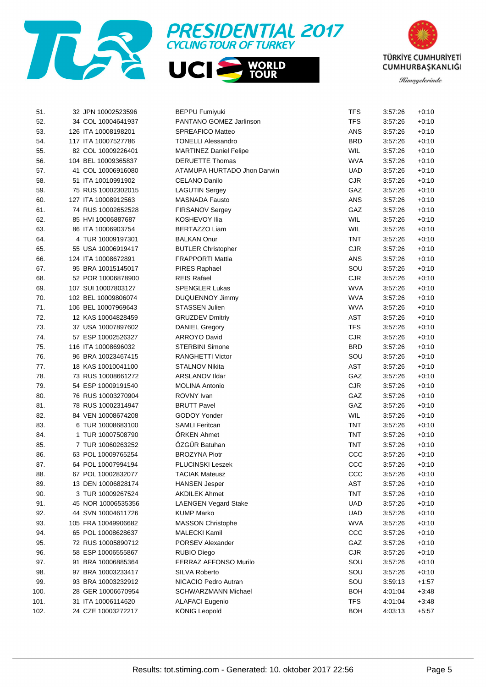





| 51.  | 32 JPN 10002523596  | <b>BEPPU Fumiyuki</b>         | <b>TFS</b> | 3:57:26 | $+0:10$ |
|------|---------------------|-------------------------------|------------|---------|---------|
| 52.  | 34 COL 10004641937  | PANTANO GOMEZ Jarlinson       | <b>TFS</b> | 3:57:26 | $+0:10$ |
| 53.  | 126 ITA 10008198201 | <b>SPREAFICO Matteo</b>       | ANS        | 3:57:26 | $+0:10$ |
| 54.  | 117 ITA 10007527786 | <b>TONELLI Alessandro</b>     | <b>BRD</b> | 3:57:26 | $+0:10$ |
| 55.  | 82 COL 10009226401  | <b>MARTINEZ Daniel Felipe</b> | WIL        | 3:57:26 | $+0:10$ |
| 56.  | 104 BEL 10009365837 | <b>DERUETTE Thomas</b>        | <b>WVA</b> | 3:57:26 | $+0:10$ |
| 57.  | 41 COL 10006916080  | ATAMUPA HURTADO Jhon Darwin   | <b>UAD</b> | 3:57:26 | $+0:10$ |
| 58.  | 51 ITA 10010991902  | CELANO Danilo                 | <b>CJR</b> | 3:57:26 | $+0:10$ |
| 59.  | 75 RUS 10002302015  | <b>LAGUTIN Sergey</b>         | GAZ        | 3:57:26 | $+0:10$ |
| 60.  | 127 ITA 10008912563 | <b>MASNADA Fausto</b>         | ANS        | 3:57:26 | $+0:10$ |
| 61.  | 74 RUS 10002652528  | FIRSANOV Sergey               | GAZ        | 3:57:26 | $+0:10$ |
| 62.  | 85 HVI 10006887687  | KOSHEVOY Ilia                 | WIL        | 3:57:26 | $+0:10$ |
| 63.  | 86 ITA 10006903754  | <b>BERTAZZO Liam</b>          | WIL        | 3:57:26 | $+0:10$ |
| 64.  | 4 TUR 10009197301   | <b>BALKAN Onur</b>            | <b>TNT</b> | 3:57:26 | $+0:10$ |
| 65.  | 55 USA 10006919417  | <b>BUTLER Christopher</b>     | <b>CJR</b> | 3:57:26 | $+0:10$ |
| 66.  | 124 ITA 10008672891 | <b>FRAPPORTI Mattia</b>       | ANS        | 3:57:26 | $+0:10$ |
| 67.  | 95 BRA 10015145017  | PIRES Raphael                 | SOU        | 3:57:26 | $+0:10$ |
| 68.  | 52 POR 10006878900  | <b>REIS Rafael</b>            | CJR        | 3:57:26 | $+0:10$ |
| 69.  | 107 SUI 10007803127 | <b>SPENGLER Lukas</b>         | <b>WVA</b> | 3:57:26 | $+0:10$ |
| 70.  | 102 BEL 10009806074 | <b>DUQUENNOY Jimmy</b>        | <b>WVA</b> | 3:57:26 | $+0:10$ |
| 71.  | 106 BEL 10007969643 | <b>STASSEN Julien</b>         | <b>WVA</b> | 3:57:26 | $+0:10$ |
| 72.  | 12 KAS 10004828459  | <b>GRUZDEV Dmitriy</b>        | <b>AST</b> | 3:57:26 | $+0:10$ |
| 73.  | 37 USA 10007897602  | <b>DANIEL Gregory</b>         | <b>TFS</b> | 3:57:26 | $+0:10$ |
| 74.  | 57 ESP 10002526327  | <b>ARROYO David</b>           | CJR        | 3:57:26 | $+0:10$ |
| 75.  | 116 ITA 10008696032 | <b>STERBINI Simone</b>        | <b>BRD</b> | 3:57:26 | $+0:10$ |
| 76.  | 96 BRA 10023467415  | <b>RANGHETTI Victor</b>       | SOU        | 3:57:26 | $+0:10$ |
| 77.  | 18 KAS 10010041100  | <b>STALNOV Nikita</b>         | <b>AST</b> | 3:57:26 | $+0:10$ |
| 78.  | 73 RUS 10008661272  | ARSLANOV Ildar                | GAZ        | 3:57:26 | $+0:10$ |
| 79.  | 54 ESP 10009191540  | <b>MOLINA Antonio</b>         | CJR        | 3:57:26 | $+0:10$ |
| 80.  | 76 RUS 10003270904  | ROVNY Ivan                    | GAZ        | 3:57:26 | $+0:10$ |
| 81.  | 78 RUS 10002314947  | <b>BRUTT Pavel</b>            | GAZ        | 3:57:26 | $+0:10$ |
| 82.  | 84 VEN 10008674208  | GODOY Yonder                  | WIL        | 3:57:26 | $+0:10$ |
| 83.  | 6 TUR 10008683100   | <b>SAMLI Feritcan</b>         | <b>TNT</b> | 3:57:26 | $+0:10$ |
| 84.  | 1 TUR 10007508790   | ÖRKEN Ahmet                   | <b>TNT</b> | 3:57:26 | $+0:10$ |
| 85.  | 7 TUR 10060263252   | ÖZGÜR Batuhan                 | <b>TNT</b> | 3:57:26 | $+0:10$ |
| 86.  | 63 POL 10009765254  | <b>BROZYNA Piotr</b>          | ccc        | 3:57:26 | $+0:10$ |
| 87.  | 64 POL 10007994194  | PLUCINSKI Leszek              | ccc        | 3:57:26 | $+0:10$ |
| 88.  | 67 POL 10002832077  | <b>TACIAK Mateusz</b>         | CCC        | 3:57:26 | $+0:10$ |
| 89.  | 13 DEN 10006828174  | <b>HANSEN Jesper</b>          | AST        | 3:57:26 | $+0:10$ |
| 90.  | 3 TUR 10009267524   | <b>AKDILEK Ahmet</b>          | <b>TNT</b> | 3:57:26 | $+0:10$ |
| 91.  | 45 NOR 10006535356  | <b>LAENGEN Vegard Stake</b>   | <b>UAD</b> | 3:57:26 | $+0:10$ |
| 92.  | 44 SVN 10004611726  | <b>KUMP Marko</b>             | <b>UAD</b> | 3:57:26 | $+0:10$ |
| 93.  | 105 FRA 10049906682 | <b>MASSON Christophe</b>      | <b>WVA</b> | 3:57:26 | $+0:10$ |
| 94.  | 65 POL 10008628637  | <b>MALECKI Kamil</b>          | ccc        | 3:57:26 | $+0:10$ |
| 95.  | 72 RUS 10005890712  | PORSEV Alexander              | GAZ        | 3:57:26 | $+0:10$ |
| 96.  | 58 ESP 10006555867  | <b>RUBIO Diego</b>            | CJR        | 3:57:26 | $+0:10$ |
| 97.  | 91 BRA 10006885364  | <b>FERRAZ AFFONSO Murilo</b>  | SOU        |         |         |
|      |                     | <b>SILVA Roberto</b>          |            | 3:57:26 | $+0:10$ |
| 98.  | 97 BRA 10003233417  |                               | SOU        | 3:57:26 | $+0:10$ |
| 99.  | 93 BRA 10003232912  | NICACIO Pedro Autran          | SOU        | 3:59:13 | $+1:57$ |
| 100. | 28 GER 10006670954  | SCHWARZMANN Michael           | <b>BOH</b> | 4:01:04 | $+3:48$ |
| 101. | 31 ITA 10006114620  | <b>ALAFACI Eugenio</b>        | <b>TFS</b> | 4:01:04 | $+3:48$ |
| 102. | 24 CZE 10003272217  | KÖNIG Leopold                 | <b>BOH</b> | 4:03:13 | $+5.57$ |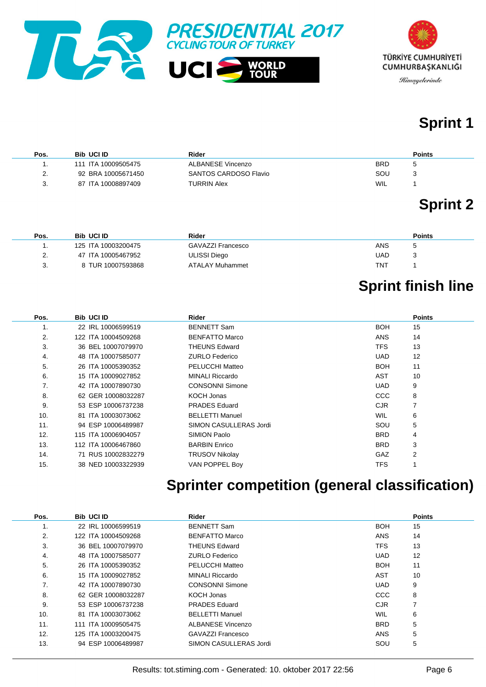



# **Sprint 1**

| Pos.                | <b>Bib UCI ID</b>   | Rider                 | <b>Points</b> |
|---------------------|---------------------|-----------------------|---------------|
|                     | 111 ITA 10009505475 | ALBANESE Vincenzo     | <b>BRD</b>    |
| $\mathcal{P}$<br>L. | 92 BRA 10005671450  | SANTOS CARDOSO Flavio | SOU           |
| ◠<br>ა.             | 87 ITA 10008897409  | TURRIN Alex           | WIL           |

# **Sprint 2**

| Pos. | <b>Bib UCI ID</b>   | Rider             | <b>Points</b> |
|------|---------------------|-------------------|---------------|
|      | 125 ITA 10003200475 | GAVAZZI Francesco | ANS<br>c      |
|      | 47 ITA 10005467952  | ULISSI Diego      | UAD           |
|      | 8 TUR 10007593868   | ATALAY Muhammet   | TNT           |

# **Sprint finish line**

| Pos. | <b>Bib UCI ID</b>   | Rider                  |            | <b>Points</b> |
|------|---------------------|------------------------|------------|---------------|
| 1.   | 22 IRL 10006599519  | <b>BENNETT Sam</b>     | <b>BOH</b> | 15            |
| 2.   | 122 ITA 10004509268 | <b>BENFATTO Marco</b>  | <b>ANS</b> | 14            |
| 3.   | 36 BEL 10007079970  | <b>THEUNS Edward</b>   | TFS.       | 13            |
| 4.   | 48 ITA 10007585077  | <b>ZURLO Federico</b>  | UAD.       | 12            |
| 5.   | 26 ITA 10005390352  | <b>PELUCCHI Matteo</b> | <b>BOH</b> | 11            |
| 6.   | 15 ITA 10009027852  | <b>MINALI Riccardo</b> | AST        | 10            |
| 7.   | 42 ITA 10007890730  | <b>CONSONNI Simone</b> | UAD.       | 9             |
| 8.   | 62 GER 10008032287  | KOCH Jonas             | CCC        | 8             |
| 9.   | 53 ESP 10006737238  | <b>PRADES</b> Eduard   | CJR.       | 7             |
| 10.  | 81 ITA 10003073062  | <b>BELLETTI Manuel</b> | <b>WIL</b> | 6             |
| 11.  | 94 ESP 10006489987  | SIMON CASULLERAS Jordi | SOU        | 5             |
| 12.  | 115 ITA 10006904057 | SIMION Paolo           | <b>BRD</b> | 4             |
| 13.  | 112 ITA 10006467860 | <b>BARBIN Enrico</b>   | <b>BRD</b> | 3             |
| 14.  | 71 RUS 10002832279  | <b>TRUSOV Nikolay</b>  | <b>GAZ</b> | 2             |
| 15.  | 38 NED 10003322939  | VAN POPPEL Boy         | <b>TFS</b> |               |

### **Sprinter competition (general classification)**

| Pos. | <b>Bib UCI ID</b>   | Rider                    |            | <b>Points</b> |
|------|---------------------|--------------------------|------------|---------------|
| 1.   | 22 IRL 10006599519  | <b>BENNETT Sam</b>       | <b>BOH</b> | 15            |
| 2.   | 122 ITA 10004509268 | BENFATTO Marco           | ANS        | 14            |
| 3.   | 36 BEL 10007079970  | <b>THEUNS Edward</b>     | <b>TFS</b> | 13            |
| 4.   | 48 ITA 10007585077  | <b>ZURLO Federico</b>    | <b>UAD</b> | 12            |
| 5.   | 26 ITA 10005390352  | PELUCCHI Matteo          | <b>BOH</b> | 11            |
| 6.   | 15 ITA 10009027852  | <b>MINALI Riccardo</b>   | AST        | 10            |
| 7.   | 42 ITA 10007890730  | <b>CONSONNI Simone</b>   | <b>UAD</b> | 9             |
| 8.   | 62 GER 10008032287  | KOCH Jonas               | <b>CCC</b> | 8             |
| 9.   | 53 ESP 10006737238  | <b>PRADES Eduard</b>     | <b>CJR</b> |               |
| 10.  | 81 ITA 10003073062  | <b>BELLETTI Manuel</b>   | WIL        | 6             |
| 11.  | 111 ITA 10009505475 | ALBANESE Vincenzo        | <b>BRD</b> | 5             |
| 12.  | 125 ITA 10003200475 | <b>GAVAZZI Francesco</b> | ANS        | 5             |
| 13.  | 94 ESP 10006489987  | SIMON CASULLERAS Jordi   | SOU        | 5             |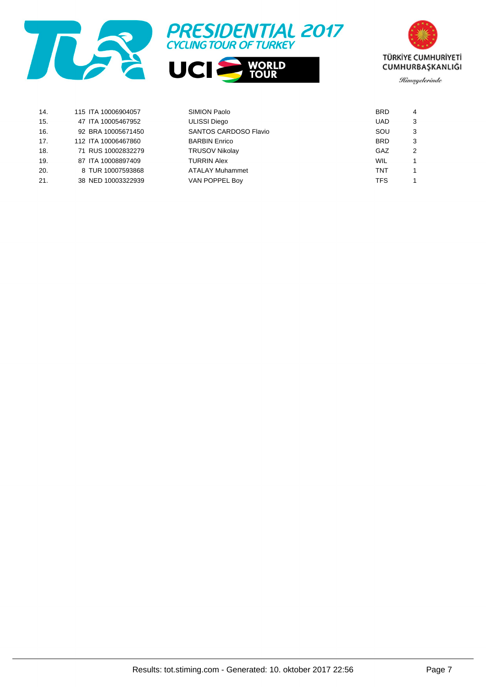





| 14. | 115 ITA 10006904057 | SIMION Paolo           | <b>BRD</b> | 4 |
|-----|---------------------|------------------------|------------|---|
| 15. | 47 ITA 10005467952  | <b>ULISSI Diego</b>    | <b>UAD</b> | 3 |
| 16. | 92 BRA 10005671450  | SANTOS CARDOSO Flavio  | SOU        | 3 |
| 17. | 112 ITA 10006467860 | <b>BARBIN Enrico</b>   | <b>BRD</b> | 3 |
| 18. | 71 RUS 10002832279  | <b>TRUSOV Nikolay</b>  | GAZ        |   |
| 19. | 87 ITA 10008897409  | <b>TURRIN Alex</b>     | WIL        |   |
| 20. | 8 TUR 10007593868   | <b>ATALAY Muhammet</b> | <b>TNT</b> |   |
| 21. | 38 NED 10003322939  | VAN POPPEL Boy         | <b>TFS</b> |   |
|     |                     |                        |            |   |

Results: tot.stiming.com - Generated: 10. oktober 2017 22:56 Page 7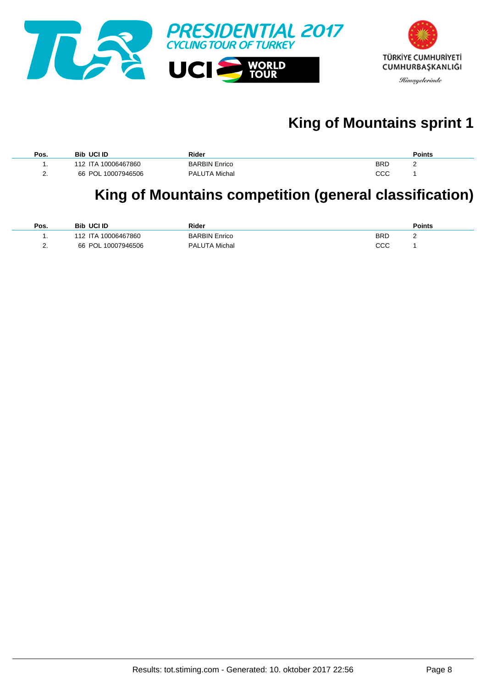

# **King of Mountains sprint 1**

| Pos.     | <b>Bib UCI ID</b>   | Rider                |            | <b>Points</b> |
|----------|---------------------|----------------------|------------|---------------|
|          | 112 ITA 10006467860 | <b>BARBIN Enrico</b> | <b>BRD</b> | -             |
| <u>.</u> | 66 POL 10007946506  | <b>PALUTA Michal</b> | ссс        |               |

### **King of Mountains competition (general classification)**

| Pos.     | <b>Bib UCI ID</b>   | Rider                |            | <b>Points</b> |
|----------|---------------------|----------------------|------------|---------------|
|          | 112 ITA 10006467860 | <b>BARBIN Enrico</b> | <b>BRD</b> | <u>_</u>      |
| <u>.</u> | 66 POL 10007946506  | <b>PALUTA Michal</b> | CCC        |               |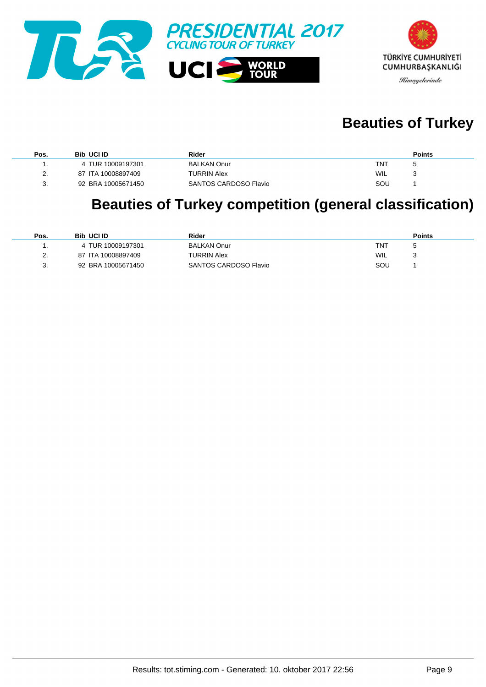



## **Beauties of Turkey**

| Pos.          | <b>Bib UCI ID</b>  | Rider                 | <b>Points</b> |
|---------------|--------------------|-----------------------|---------------|
|               | 4 TUR 10009197301  | <b>BALKAN Onur</b>    | TNT           |
| $\mathcal{D}$ | 87 ITA 10008897409 | <b>TURRIN Alex</b>    | WIL           |
| -3.           | 92 BRA 10005671450 | SANTOS CARDOSO Flavio | SOU           |

# **Beauties of Turkey competition (general classification)**

| Pos.     | <b>Bib UCI ID</b>  | Rider                 | <b>Points</b> |
|----------|--------------------|-----------------------|---------------|
|          | 4 TUR 10009197301  | <b>BALKAN Onur</b>    | TNT           |
| <u>.</u> | 87 ITA 10008897409 | <b>TURRIN Alex</b>    | WIL           |
| J.       | 92 BRA 10005671450 | SANTOS CARDOSO Flavio | SOU           |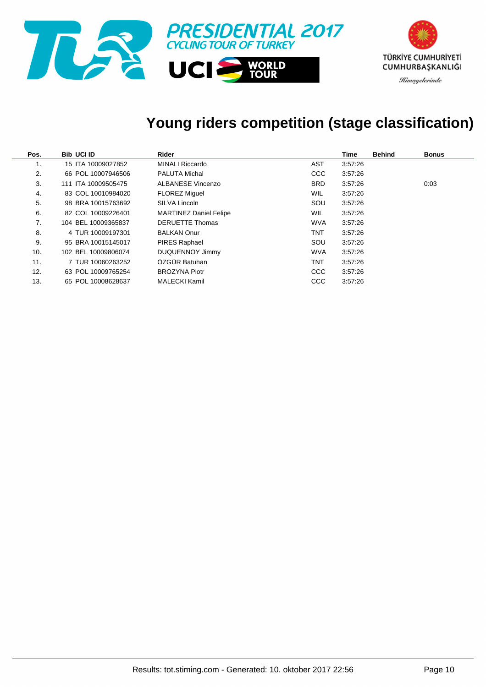

# **Young riders competition (stage classification)**

| Pos. | <b>Bib UCI ID</b>   | Rider                         |            | Time    | <b>Behind</b> | <b>Bonus</b> |
|------|---------------------|-------------------------------|------------|---------|---------------|--------------|
| 1.   | 15 ITA 10009027852  | <b>MINALI Riccardo</b>        | AST        | 3:57:26 |               |              |
| 2.   | 66 POL 10007946506  | <b>PALUTA Michal</b>          | <b>CCC</b> | 3:57:26 |               |              |
| 3.   | 111 ITA 10009505475 | <b>ALBANESE Vincenzo</b>      | <b>BRD</b> | 3:57:26 |               | 0:03         |
| 4.   | 83 COL 10010984020  | <b>FLOREZ Miguel</b>          | <b>WIL</b> | 3:57:26 |               |              |
| 5.   | 98 BRA 10015763692  | SILVA Lincoln                 | SOU        | 3:57:26 |               |              |
| 6.   | 82 COL 10009226401  | <b>MARTINEZ Daniel Felipe</b> | <b>WIL</b> | 3:57:26 |               |              |
| 7.   | 104 BEL 10009365837 | <b>DERUETTE Thomas</b>        | <b>WVA</b> | 3:57:26 |               |              |
| 8.   | 4 TUR 10009197301   | <b>BALKAN Onur</b>            | TNT        | 3:57:26 |               |              |
| 9.   | 95 BRA 10015145017  | <b>PIRES Raphael</b>          | SOU        | 3:57:26 |               |              |
| 10.  | 102 BEL 10009806074 | DUQUENNOY Jimmy               | <b>WVA</b> | 3:57:26 |               |              |
| 11.  | 7 TUR 10060263252   | ÖZGÜR Batuhan                 | TNT        | 3:57:26 |               |              |
| 12.  | 63 POL 10009765254  | <b>BROZYNA Piotr</b>          | <b>CCC</b> | 3:57:26 |               |              |
| 13.  | 65 POL 10008628637  | <b>MALECKI Kamil</b>          | CCC        | 3:57:26 |               |              |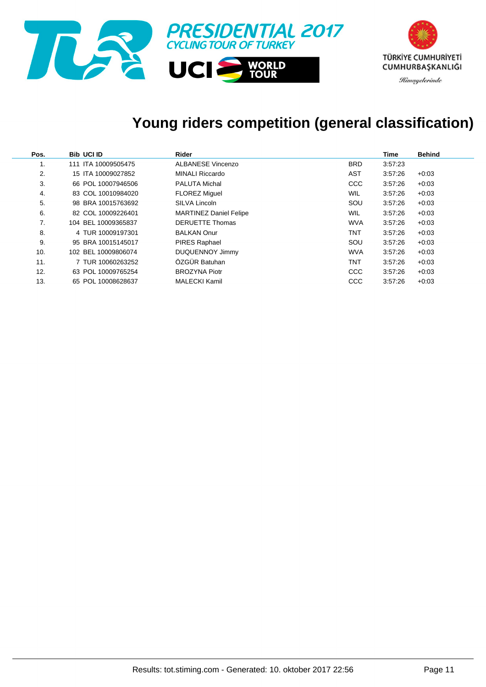

# **Young riders competition (general classification)**

| Pos. | <b>Bib UCI ID</b>   | Rider                         |            | Time    | <b>Behind</b> |
|------|---------------------|-------------------------------|------------|---------|---------------|
|      | 111 ITA 10009505475 | <b>ALBANESE Vincenzo</b>      | <b>BRD</b> | 3:57:23 |               |
| 2.   | 15 ITA 10009027852  | <b>MINALI Riccardo</b>        | AST        | 3:57:26 | $+0:03$       |
| 3.   | 66 POL 10007946506  | <b>PALUTA Michal</b>          | <b>CCC</b> | 3:57:26 | $+0.03$       |
| 4.   | 83 COL 10010984020  | <b>FLOREZ Miquel</b>          | WIL        | 3:57:26 | $+0.03$       |
| 5.   | 98 BRA 10015763692  | SILVA Lincoln                 | SOU        | 3:57:26 | $+0.03$       |
| 6.   | 82 COL 10009226401  | <b>MARTINEZ Daniel Felipe</b> | WIL        | 3:57:26 | $+0.03$       |
| 7.   | 104 BEL 10009365837 | <b>DERUETTE Thomas</b>        | <b>WVA</b> | 3:57:26 | $+0.03$       |
| 8.   | 4 TUR 10009197301   | <b>BALKAN Onur</b>            | TNT        | 3:57:26 | $+0.03$       |
| 9.   | 95 BRA 10015145017  | <b>PIRES Raphael</b>          | SOU        | 3:57:26 | $+0.03$       |
| 10.  | 102 BEL 10009806074 | DUQUENNOY Jimmy               | <b>WVA</b> | 3:57:26 | $+0.03$       |
| 11.  | 7 TUR 10060263252   | ÖZGÜR Batuhan                 | TNT        | 3:57:26 | $+0.03$       |
| 12.  | 63 POL 10009765254  | <b>BROZYNA Piotr</b>          | <b>CCC</b> | 3:57:26 | $+0.03$       |
| 13.  | 65 POL 10008628637  | <b>MALECKI Kamil</b>          | CCC        | 3:57:26 | $+0.03$       |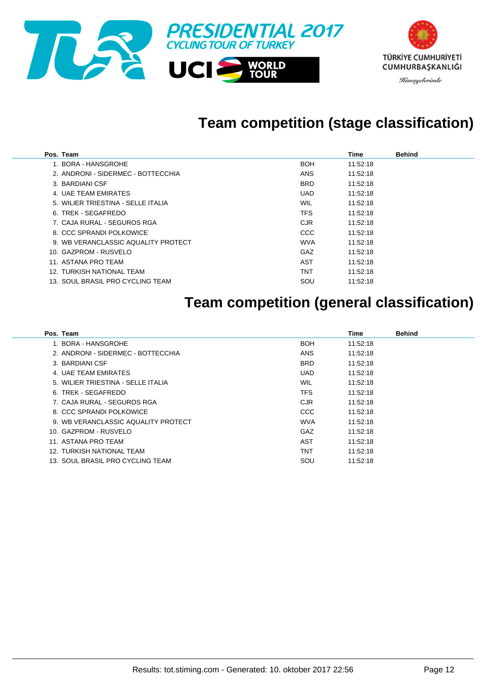

### **Team competition (stage classification)**

| Pos. Team                           |            | Time     | <b>Behind</b> |
|-------------------------------------|------------|----------|---------------|
| 1. BORA - HANSGROHE                 | <b>BOH</b> | 11:52:18 |               |
| 2. ANDRONI - SIDERMEC - BOTTECCHIA  | <b>ANS</b> | 11:52:18 |               |
| 3. BARDIANI CSF                     | <b>BRD</b> | 11:52:18 |               |
| 4. UAE TEAM EMIRATES                | UAD        | 11:52:18 |               |
| 5. WILIER TRIESTINA - SELLE ITALIA  | WIL        | 11:52:18 |               |
| 6. TREK - SEGAFREDO                 | TFS        | 11:52:18 |               |
| 7. CAJA RURAL - SEGUROS RGA         | <b>CJR</b> | 11:52:18 |               |
| 8. CCC SPRANDI POLKOWICE            | <b>CCC</b> | 11:52:18 |               |
| 9. WB VERANCLASSIC AQUALITY PROTECT | <b>WVA</b> | 11:52:18 |               |
| 10. GAZPROM - RUSVELO               | GAZ        | 11:52:18 |               |
| 11. ASTANA PRO TEAM                 | AST        | 11:52:18 |               |
| 12. TURKISH NATIONAL TEAM           | TNT        | 11:52:18 |               |
| 13. SOUL BRASIL PRO CYCLING TEAM    | SOU        | 11:52:18 |               |

### **Team competition (general classification)**

| Pos. Team                           |            | Time     | <b>Behind</b> |
|-------------------------------------|------------|----------|---------------|
| 1. BORA - HANSGROHE                 | <b>BOH</b> | 11:52:18 |               |
| 2. ANDRONI - SIDERMEC - BOTTECCHIA  | <b>ANS</b> | 11:52:18 |               |
| 3. BARDIANI CSF                     | <b>BRD</b> | 11:52:18 |               |
| 4. UAE TEAM EMIRATES                | <b>UAD</b> | 11:52:18 |               |
| 5. WILIER TRIESTINA - SELLE ITALIA  | <b>WIL</b> | 11:52:18 |               |
| 6. TREK - SEGAFREDO                 | <b>TFS</b> | 11:52:18 |               |
| 7. CAJA RURAL - SEGUROS RGA         | <b>CJR</b> | 11:52:18 |               |
| 8. CCC SPRANDI POLKOWICE            | CCC        | 11:52:18 |               |
| 9. WB VERANCLASSIC AQUALITY PROTECT | WVA        | 11:52:18 |               |
| 10. GAZPROM - RUSVELO               | GAZ        | 11:52:18 |               |
| 11. ASTANA PRO TEAM                 | AST        | 11:52:18 |               |
| 12. TURKISH NATIONAL TEAM           | <b>TNT</b> | 11:52:18 |               |
| 13. SOUL BRASIL PRO CYCLING TEAM    | SOU        | 11:52:18 |               |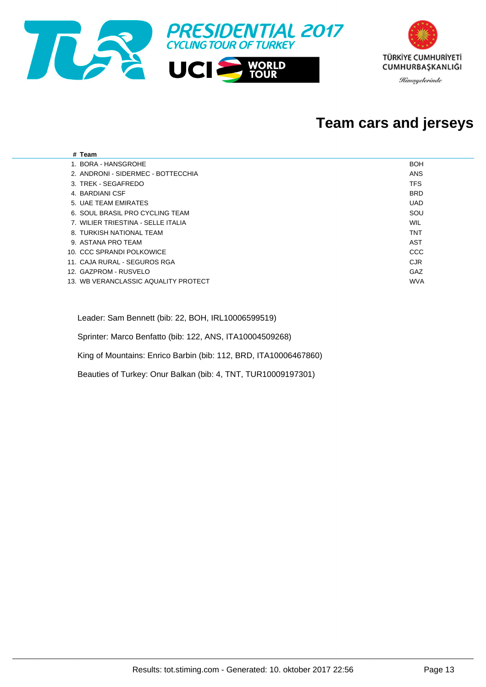

#### **Team cars and jerseys**

| # Team                               |            |
|--------------------------------------|------------|
| 1. BORA - HANSGROHE                  | <b>BOH</b> |
| 2. ANDRONI - SIDERMEC - BOTTECCHIA   | <b>ANS</b> |
| 3. TREK - SEGAFREDO                  | <b>TFS</b> |
| 4. BARDIANI CSF                      | <b>BRD</b> |
| 5. UAE TEAM EMIRATES                 | <b>UAD</b> |
| 6. SOUL BRASIL PRO CYCLING TEAM      | SOU        |
| 7. WILIER TRIESTINA - SELLE ITALIA   | WIL        |
| 8. TURKISH NATIONAL TEAM             | <b>TNT</b> |
| 9. ASTANA PRO TEAM                   | AST        |
| 10. CCC SPRANDI POLKOWICE            | <b>CCC</b> |
| 11. CAJA RURAL - SEGUROS RGA         | <b>CJR</b> |
| 12. GAZPROM - RUSVELO                | GAZ        |
| 13. WB VERANCLASSIC AQUALITY PROTECT | <b>WVA</b> |
|                                      |            |

Leader: Sam Bennett (bib: 22, BOH, IRL10006599519)

Sprinter: Marco Benfatto (bib: 122, ANS, ITA10004509268)

King of Mountains: Enrico Barbin (bib: 112, BRD, ITA10006467860)

Beauties of Turkey: Onur Balkan (bib: 4, TNT, TUR10009197301)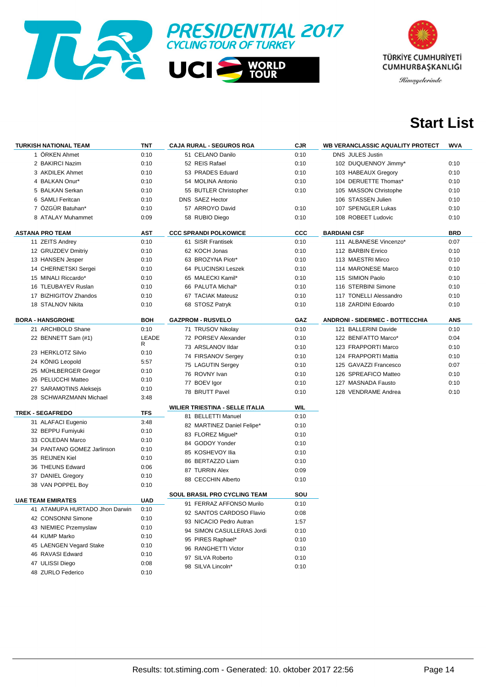



### **Start List**

| <b>TURKISH NATIONAL TEAM</b>   | TNT        | <b>CAJA RURAL - SEGUROS RGA</b>        | <b>CJR</b> | <b>WB VERANCLASSIC AQUALITY PROTECT</b> | WVA        |
|--------------------------------|------------|----------------------------------------|------------|-----------------------------------------|------------|
| 1 ÖRKEN Ahmet                  | 0:10       | 51 CELANO Danilo                       | 0:10       | <b>DNS JULES Justin</b>                 |            |
| 2 BAKIRCI Nazim                | 0:10       | 52 REIS Rafael                         | 0:10       | 102 DUQUENNOY Jimmy*                    | 0:10       |
| 3 AKDILEK Ahmet                | 0:10       | 53 PRADES Eduard                       | 0:10       | 103 HABEAUX Gregory                     | 0:10       |
| 4 BALKAN Onur*                 | 0:10       | 54 MOLINA Antonio                      | 0:10       | 104 DERUETTE Thomas*                    | 0:10       |
| 5 BALKAN Serkan                | 0:10       | 55 BUTLER Christopher                  | 0:10       | 105 MASSON Christophe                   | 0:10       |
| 6 SAMLI Feritcan               | 0:10       | DNS SAEZ Hector                        |            | 106 STASSEN Julien                      | 0:10       |
| 7 ÖZGÜR Batuhan*               | 0:10       | 57 ARROYO David                        | 0:10       | 107 SPENGLER Lukas                      | 0:10       |
| 8 ATALAY Muhammet              | 0:09       | 58 RUBIO Diego                         | 0:10       | 108 ROBEET Ludovic                      | 0:10       |
| <b>ASTANA PRO TEAM</b>         | AST        | <b>CCC SPRANDI POLKOWICE</b>           | CCC        | <b>BARDIANI CSF</b>                     | <b>BRD</b> |
| 11 ZEITS Andrey                | 0:10       | 61 SISR Frantisek                      | 0:10       | 111 ALBANESE Vincenzo*                  | 0:07       |
| 12 GRUZDEV Dmitriy             | 0:10       | 62 KOCH Jonas                          | 0:10       | 112 BARBIN Enrico                       | 0:10       |
| 13 HANSEN Jesper               | 0:10       | 63 BROZYNA Piotr*                      | 0:10       | 113 MAESTRI Mirco                       | 0:10       |
| 14 CHERNETSKI Sergei           | 0:10       | 64 PLUCINSKI Leszek                    | 0:10       | 114 MARONESE Marco                      | 0:10       |
| 15 MINALI Riccardo*            | 0:10       | 65 MALECKI Kamil*                      | 0:10       | 115 SIMION Paolo                        | 0:10       |
| 16 TLEUBAYEV Ruslan            | 0:10       | 66 PALUTA Michal*                      | 0:10       | 116 STERBINI Simone                     | 0:10       |
| 17 BIZHIGITOV Zhandos          | 0:10       | 67 TACIAK Mateusz                      | 0:10       | 117 TONELLI Alessandro                  | 0:10       |
| 18 STALNOV Nikita              | 0:10       | 68 STOSZ Patryk                        | 0:10       | 118 ZARDINI Edoardo                     | 0:10       |
|                                |            |                                        |            |                                         |            |
| <b>BORA - HANSGROHE</b>        | <b>BOH</b> | <b>GAZPROM - RUSVELO</b>               | GAZ        | <b>ANDRONI - SIDERMEC - BOTTECCHIA</b>  | <b>ANS</b> |
| 21 ARCHBOLD Shane              | 0:10       | 71 TRUSOV Nikolay                      | 0:10       | 121 BALLERINI Davide                    | 0:10       |
| 22 BENNETT Sam (#1)            | LEADE      | 72 PORSEV Alexander                    | 0:10       | 122 BENFATTO Marco*                     | 0:04       |
|                                | R          | 73 ARSLANOV Ildar                      | 0:10       | 123 FRAPPORTI Marco                     | 0:10       |
| 23 HERKLOTZ Silvio             | 0:10       | 74 FIRSANOV Sergey                     | 0:10       | 124 FRAPPORTI Mattia                    | 0:10       |
| 24 KÖNIG Leopold               | 5:57       | 75 LAGUTIN Sergey                      | 0:10       | 125 GAVAZZI Francesco                   | 0:07       |
| 25 MÜHLBERGER Gregor           | 0:10       | 76 ROVNY Ivan                          | 0:10       | 126 SPREAFICO Matteo                    | 0:10       |
| 26 PELUCCHI Matteo             | 0:10       | 77 BOEV Igor                           | 0:10       | 127 MASNADA Fausto                      | 0:10       |
| 27 SARAMOTINS Aleksejs         | 0:10       | 78 BRUTT Pavel                         | 0:10       | 128 VENDRAME Andrea                     | 0:10       |
| 28 SCHWARZMANN Michael         | 3:48       |                                        |            |                                         |            |
| <b>TREK - SEGAFREDO</b>        | <b>TFS</b> | <b>WILIER TRIESTINA - SELLE ITALIA</b> | <b>WIL</b> |                                         |            |
| 31 ALAFACI Eugenio             | 3:48       | 81 BELLETTI Manuel                     | 0:10       |                                         |            |
| 32 BEPPU Fumiyuki              | 0:10       | 82 MARTINEZ Daniel Felipe*             | 0:10       |                                         |            |
| 33 COLEDAN Marco               | 0:10       | 83 FLOREZ Miguel*                      | 0:10       |                                         |            |
| 34 PANTANO GOMEZ Jarlinson     | 0:10       | 84 GODOY Yonder                        | 0:10       |                                         |            |
| 35 REIJNEN Kiel                | 0:10       | 85 KOSHEVOY Ilia                       | 0:10       |                                         |            |
| 36 THEUNS Edward               | 0:06       | 86 BERTAZZO Liam                       | 0:10       |                                         |            |
| 37 DANIEL Gregory              | 0:10       | 87 TURRIN Alex                         | 0:09       |                                         |            |
| 38 VAN POPPEL Boy              | 0:10       | 88 CECCHIN Alberto                     | 0:10       |                                         |            |
|                                |            | SOUL BRASIL PRO CYCLING TEAM           | SOU        |                                         |            |
| <b>UAE TEAM EMIRATES</b>       | <b>UAD</b> | 91 FERRAZ AFFONSO Murilo               | 0:10       |                                         |            |
| 41 ATAMUPA HURTADO Jhon Darwin | 0:10       | 92 SANTOS CARDOSO Flavio               | 0:08       |                                         |            |
| 42 CONSONNI Simone             | 0:10       | 93 NICACIO Pedro Autran                | 1:57       |                                         |            |
| 43 NIEMIEC Przemyslaw          | 0:10       | 94 SIMON CASULLERAS Jordi              | 0:10       |                                         |            |
| 44 KUMP Marko                  | 0:10       | 95 PIRES Raphael*                      | 0:10       |                                         |            |
| 45 LAENGEN Vegard Stake        | 0:10       | 96 RANGHETTI Victor                    | 0:10       |                                         |            |
| 46 RAVASI Edward               | 0:10       | 97 SILVA Roberto                       | 0:10       |                                         |            |
| 47 ULISSI Diego                | 0:08       | 98 SILVA Lincoln*                      | 0:10       |                                         |            |
| 48 ZURLO Federico              | 0:10       |                                        |            |                                         |            |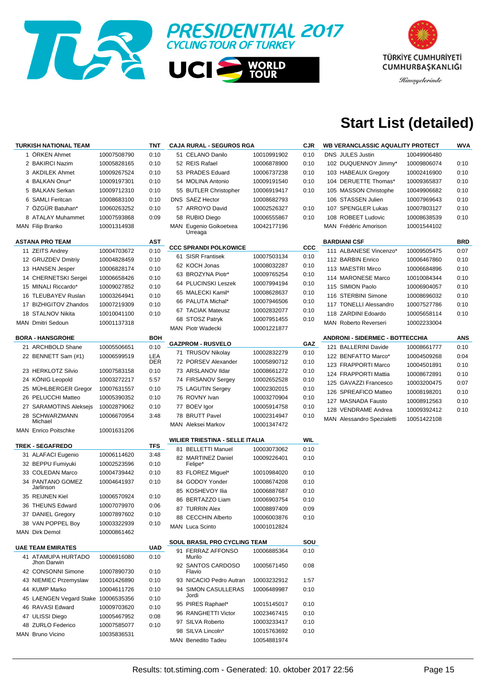



## **Start List (detailed)**

| <b>TURKISH NATIONAL TEAM</b>        |             | TNT        | <b>CAJA RURAL - SEGUROS RGA</b>        |             | <b>CJR</b>   | <b>WB VERANCLASSIC AQUALITY PROTECT</b> |             | WVA        |
|-------------------------------------|-------------|------------|----------------------------------------|-------------|--------------|-----------------------------------------|-------------|------------|
| 1 ORKEN Ahmet                       | 10007508790 | 0:10       | 51 CELANO Danilo                       | 10010991902 | 0:10         | <b>DNS JULES Justin</b>                 | 10049906480 |            |
| 2 BAKIRCI Nazim                     | 10005828165 | 0:10       | 52 REIS Rafael                         | 10006878900 | 0:10         | 102 DUQUENNOY Jimmy*                    | 10009806074 | 0:10       |
| 3 AKDILEK Ahmet                     | 10009267524 | 0:10       | 53 PRADES Eduard                       | 10006737238 | 0:10         | 103 HABEAUX Gregory                     | 10002416900 | 0:10       |
| 4 BALKAN Onur*                      | 10009197301 | 0:10       | 54 MOLINA Antonio                      | 10009191540 | 0:10         | 104 DERUETTE Thomas*                    | 10009365837 | 0:10       |
| 5 BALKAN Serkan                     | 10009712310 | 0:10       | 55 BUTLER Christopher                  | 10006919417 | 0:10         | 105 MASSON Christophe                   | 10049906682 | 0:10       |
| 6 SAMLI Feritcan                    | 10008683100 | 0:10       | DNS SAEZ Hector                        | 10008682793 |              | 106 STASSEN Julien                      | 10007969643 | 0:10       |
| 7 ÖZGÜR Batuhan*                    | 10060263252 | 0:10       | 57 ARROYO David                        | 10002526327 | 0:10         | 107 SPENGLER Lukas                      | 10007803127 | 0:10       |
| 8 ATALAY Muhammet                   | 10007593868 | 0:09       | 58 RUBIO Diego                         | 10006555867 | 0:10         | 108 ROBEET Ludovic                      | 10008638539 | 0:10       |
| MAN Filip Branko                    | 10001314938 |            | MAN Eugenio Goikoetxea                 | 10042177196 |              | MAN Frédéric Amorison                   | 10001544102 |            |
|                                     |             |            | Urreaga                                |             |              |                                         |             |            |
| <b>ASTANA PRO TEAM</b>              |             | <b>AST</b> | <b>CCC SPRANDI POLKOWICE</b>           |             | $_{\rm ccc}$ | <b>BARDIANI CSF</b>                     |             | <b>BRD</b> |
| 11 ZEITS Andrey                     | 10004703672 | 0:10       | 61 SISR Frantisek                      |             |              | 111 ALBANESE Vincenzo*                  | 10009505475 | 0:07       |
| 12 GRUZDEV Dmitriy                  | 10004828459 | 0:10       |                                        | 10007503134 | 0:10         | 112 BARBIN Enrico                       | 10006467860 | 0:10       |
| 13 HANSEN Jesper                    | 10006828174 | 0:10       | 62 KOCH Jonas                          | 10008032287 | 0:10         | 113 MAESTRI Mirco                       | 10006684896 | 0:10       |
| 14 CHERNETSKI Sergei                | 10006658426 | 0:10       | 63 BROZYNA Piotr*                      | 10009765254 | 0:10         | 114 MARONESE Marco                      | 10010084344 | 0:10       |
| 15 MINALI Riccardo*                 | 10009027852 | 0:10       | 64 PLUCINSKI Leszek                    | 10007994194 | 0:10         | 115 SIMION Paolo                        | 10006904057 | 0:10       |
| 16 TLEUBAYEV Ruslan                 | 10003264941 | 0:10       | 65 MALECKI Kamil*                      | 10008628637 | 0:10         | 116 STERBINI Simone                     | 10008696032 | 0:10       |
| 17 BIZHIGITOV Zhandos               | 10007219309 | 0:10       | 66 PALUTA Michal*                      | 10007946506 | 0:10         | 117 TONELLI Alessandro                  | 10007527786 | 0:10       |
| 18 STALNOV Nikita                   | 10010041100 | 0:10       | 67 TACIAK Mateusz                      | 10002832077 | 0:10         | 118 ZARDINI Edoardo                     | 10005658114 | 0:10       |
| <b>MAN</b> Dmitri Sedoun            | 10001137318 |            | 68 STOSZ Patryk                        | 10007951455 | 0:10         | MAN Roberto Reverseri                   | 10002233004 |            |
|                                     |             |            | MAN Piotr Wadecki                      | 10001221877 |              |                                         |             |            |
| <b>BORA - HANSGROHE</b>             |             | <b>BOH</b> | <b>GAZPROM - RUSVELO</b>               |             | GAZ          | <b>ANDRONI - SIDERMEC - BOTTECCHIA</b>  |             | ANS        |
| 21 ARCHBOLD Shane                   | 10005506651 | 0:10       |                                        |             |              | 121 BALLERINI Davide                    | 10008661777 | 0:10       |
| 22 BENNETT Sam (#1)                 | 10006599519 | LEA        | 71 TRUSOV Nikolay                      | 10002832279 | 0:10         | 122 BENFATTO Marco*                     | 10004509268 | 0:04       |
|                                     |             | <b>DER</b> | 72 PORSEV Alexander                    | 10005890712 | 0:10         | 123 FRAPPORTI Marco                     | 10004501891 | 0:10       |
| 23 HERKLOTZ Silvio                  | 10007583158 | 0:10       | 73 ARSLANOV Ildar                      | 10008661272 | 0:10         | 124 FRAPPORTI Mattia                    | 10008672891 | 0:10       |
| 24 KÖNIG Leopold                    | 10003272217 | 5:57       | 74 FIRSANOV Sergey                     | 10002652528 | 0:10         | 125 GAVAZZI Francesco                   | 10003200475 | 0:07       |
| 25 MÜHLBERGER Gregor                | 10007631557 | 0:10       | 75 LAGUTIN Sergey                      | 10002302015 | 0:10         | 126 SPREAFICO Matteo                    | 10008198201 | 0:10       |
| 26 PELUCCHI Matteo                  | 10005390352 | 0:10       | 76 ROVNY Ivan                          | 10003270904 | 0:10         | 127 MASNADA Fausto                      | 10008912563 | 0:10       |
| 27 SARAMOTINS Aleksejs              | 10002879062 | 0:10       | 77 BOEV Igor                           | 10005914758 | 0:10         | 128 VENDRAME Andrea                     | 10009392412 | 0:10       |
| 28 SCHWARZMANN<br>Michael           | 10006670954 | 3:48       | 78 BRUTT Pavel                         | 10002314947 | 0:10         | MAN Alessandro Spezialetti              | 10051422108 |            |
| <b>MAN</b> Enrico Poitschke         | 10001631206 |            | MAN Aleksei Markov                     | 10001347472 |              |                                         |             |            |
|                                     |             |            | <b>WILIER TRIESTINA - SELLE ITALIA</b> |             | <b>WIL</b>   |                                         |             |            |
| <b>TREK - SEGAFREDO</b>             |             | TFS        | 81 BELLETTI Manuel                     | 10003073062 | 0:10         |                                         |             |            |
| 31 ALAFACI Eugenio                  | 10006114620 | 3:48       | 82 MARTINEZ Daniel                     | 10009226401 | 0:10         |                                         |             |            |
| 32 BEPPU Fumiyuki                   | 10002523596 | 0:10       | Felipe*                                |             |              |                                         |             |            |
| 33 COLEDAN Marco                    | 10004739442 | 0:10       | 83 FLOREZ Miguel*                      | 10010984020 | 0:10         |                                         |             |            |
| 34 PANTANO GOMEZ                    | 10004641937 | 0:10       | 84 GODOY Yonder                        | 10008674208 | 0:10         |                                         |             |            |
| Jarlinson                           |             |            | 85 KOSHEVOY Ilia                       | 10006887687 | 0:10         |                                         |             |            |
| 35 REIJNEN Kiel                     | 10006570924 | 0:10       | 86 BERTAZZO Liam                       | 10006903754 | 0:10         |                                         |             |            |
| 36 THEUNS Edward                    | 10007079970 | 0:06       | 87 TURRIN Alex                         | 10008897409 | 0:09         |                                         |             |            |
| 37 DANIEL Gregory                   | 10007897602 | 0:10       | 88 CECCHIN Alberto                     | 10006003876 | 0:10         |                                         |             |            |
| 38 VAN POPPEL Boy                   | 10003322939 | 0:10       | MAN Luca Scinto                        | 10001012824 |              |                                         |             |            |
| MAN Dirk Demol                      | 10000861462 |            |                                        |             |              |                                         |             |            |
|                                     |             |            | SOUL BRASIL PRO CYCLING TEAM           |             | SOU          |                                         |             |            |
| <b>UAE TEAM EMIRATES</b>            |             | <b>UAD</b> | 91 FERRAZ AFFONSO                      | 10006885364 | 0:10         |                                         |             |            |
| 41 ATAMUPA HURTADO<br>Jhon Darwin   | 10006916080 | 0:10       | Murilo<br>92 SANTOS CARDOSO            | 10005671450 | 0:08         |                                         |             |            |
| 42 CONSONNI Simone                  | 10007890730 | 0:10       | Flavio                                 |             |              |                                         |             |            |
| 43 NIEMIEC Przemyslaw               | 10001426890 | 0:10       | 93 NICACIO Pedro Autran                | 10003232912 | 1:57         |                                         |             |            |
| 44 KUMP Marko                       | 10004611726 | 0:10       | 94 SIMON CASULLERAS                    | 10006489987 | 0:10         |                                         |             |            |
| 45 LAENGEN Vegard Stake 10006535356 |             | 0:10       | Jordi                                  |             |              |                                         |             |            |
| 46 RAVASI Edward                    | 10009703620 | 0:10       | 95 PIRES Raphael*                      | 10015145017 | 0:10         |                                         |             |            |
| 47 ULISSI Diego                     | 10005467952 | 0:08       | 96 RANGHETTI Victor                    | 10023467415 | 0:10         |                                         |             |            |
| 48 ZURLO Federico                   | 10007585077 | 0:10       | 97 SILVA Roberto                       | 10003233417 | 0:10         |                                         |             |            |
| MAN Bruno Vicino                    | 10035836531 |            | 98 SILVA Lincoln*                      | 10015763692 | 0:10         |                                         |             |            |
|                                     |             |            | MAN Benedito Tadeu                     | 10054881974 |              |                                         |             |            |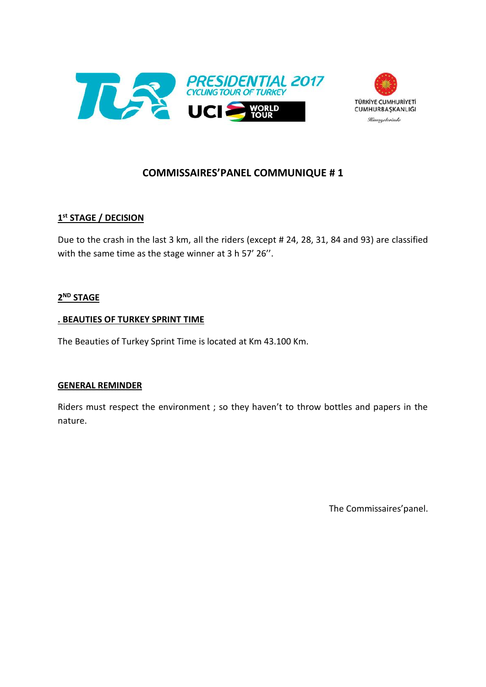



#### **COMMISSAIRES'PANEL COMMUNIQUE # 1**

#### **1 st STAGE / DECISION**

Due to the crash in the last 3 km, all the riders (except # 24, 28, 31, 84 and 93) are classified with the same time as the stage winner at 3 h 57' 26''.

#### **2 ND STAGE**

#### **. BEAUTIES OF TURKEY SPRINT TIME**

The Beauties of Turkey Sprint Time is located at Km 43.100 Km.

#### **GENERAL REMINDER**

Riders must respect the environment ; so they haven't to throw bottles and papers in the nature.

The Commissaires'panel.